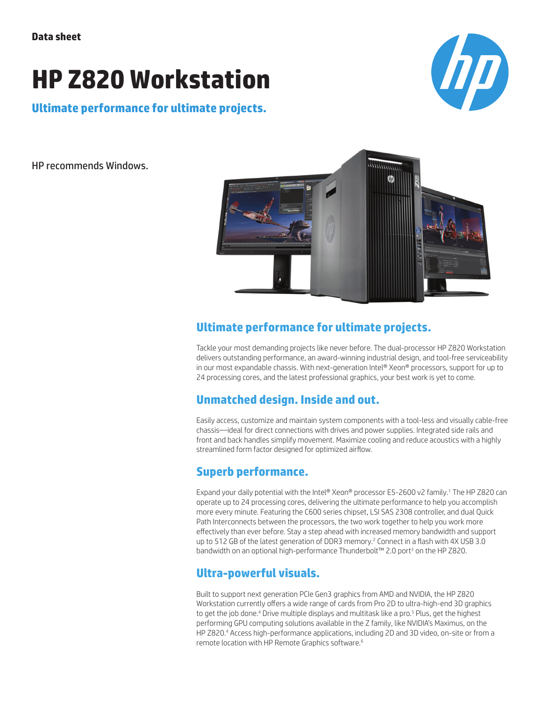# **HP Z820 Workstation**

**Chp** 

**Ultimate performance for ultimate projects.**

HP recommends Windows.



# **Ultimate performance for ultimate projects.**

Tackle your most demanding projects like never before. The dual-processor HP Z820 Workstation delivers outstanding performance, an award-winning industrial design, and tool-free serviceability in our most expandable chassis. With next-generation Intel® Xeon® processors, support for up to 24 processing cores, and the latest professional graphics, your best work is yet to come.

#### **Unmatched design. Inside and out.**

Easily access, customize and maintain system components with a tool-less and visually cable-free chassis—ideal for direct connections with drives and power supplies. Integrated side rails and front and back handles simplify movement. Maximize cooling and reduce acoustics with a highly streamlined form factor designed for optimized airflow.

# **Superb performance.**

Expand your daily potential with the Intel® Xeon® processor E5-2600 v2 family.1 The HP Z820 can operate up to 24 processing cores, delivering the ultimate performance to help you accomplish more every minute. Featuring the C600 series chipset, LSI SAS 2308 controller, and dual Quick Path Interconnects between the processors, the two work together to help you work more effectively than ever before. Stay a step ahead with increased memory bandwidth and support up to 512 GB of the latest generation of DDR3 memory.<sup>2</sup> Connect in a flash with 4X USB 3.0 bandwidth on an optional high-performance Thunderbolt™ 2.0 port<sup>3</sup> on the HP Z820.

# **Ultra-powerful visuals.**

Built to support next generation PCIe Gen3 graphics from AMD and NVIDIA, the HP Z820 Workstation currently offers a wide range of cards from Pro 2D to ultra-high-end 3D graphics to get the job done.<sup>4</sup> Drive multiple displays and multitask like a pro.<sup>5</sup> Plus, get the highest performing GPU computing solutions available in the Z family, like NVIDIA's Maximus, on the HP Z820.4 Access high-performance applications, including 2D and 3D video, on-site or from a remote location with HP Remote Graphics software.6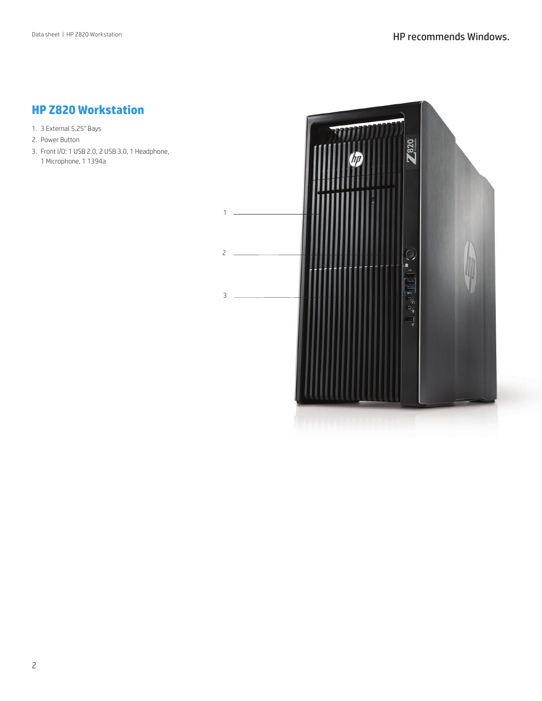### **HP Z820 Workstation**

- 1. 3 External 5.25" Bays
- 2. Power Button
- 3. Front I/O: 1 USB 2.0, 2 USB 3.0, 1 Headphone, 1 Microphone, 1 1394a

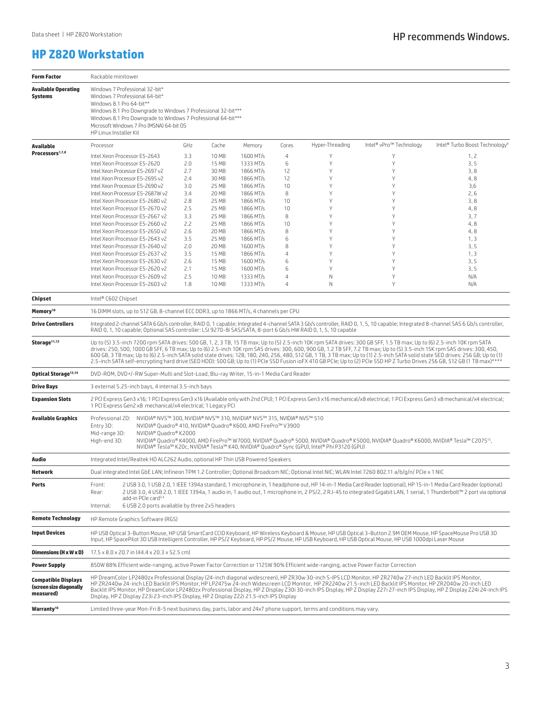### **HP Z820 Workstation**

| <b>Form Factor</b>                                                 | Rackable minitower                                                                                                                                                                                                                                                                                                                                                                                                                                                                                                                                                                                                                                                                                                      |                                                                    |            |                |                        |                |                 |                         |                                            |
|--------------------------------------------------------------------|-------------------------------------------------------------------------------------------------------------------------------------------------------------------------------------------------------------------------------------------------------------------------------------------------------------------------------------------------------------------------------------------------------------------------------------------------------------------------------------------------------------------------------------------------------------------------------------------------------------------------------------------------------------------------------------------------------------------------|--------------------------------------------------------------------|------------|----------------|------------------------|----------------|-----------------|-------------------------|--------------------------------------------|
| <b>Available Operating</b><br>Systems                              | Windows 7 Professional 32-bit*<br>Windows 7 Professional 64-bit*<br>Windows 8.1 Pro 64-bit**<br>Windows 8.1 Pro Downgrade to Windows 7 Professional 32-bit***<br>Windows 8.1 Pro Downgrade to Windows 7 Professional 64-bit***<br>Microsoft Windows 7 Pro (MSNA) 64-bit OS<br>HP Linux Installer Kit                                                                                                                                                                                                                                                                                                                                                                                                                    |                                                                    |            |                |                        |                |                 |                         |                                            |
| Available                                                          | Processor                                                                                                                                                                                                                                                                                                                                                                                                                                                                                                                                                                                                                                                                                                               |                                                                    | GHz        | Cache          | Memory                 | Cores          | Hyper-Threading | Intel® vPro™ Technology | Intel® Turbo Boost Technology <sup>9</sup> |
| Processors <sup>1,7,8</sup>                                        |                                                                                                                                                                                                                                                                                                                                                                                                                                                                                                                                                                                                                                                                                                                         | Intel Xeon Processor E5-2643                                       | 3.3        | 10 MB          | 1600 MT/s              | $\overline{4}$ |                 | Y                       | 1, 2                                       |
|                                                                    |                                                                                                                                                                                                                                                                                                                                                                                                                                                                                                                                                                                                                                                                                                                         | Intel Xeon Processor E5-2620                                       | 2.0        | 15 MB          | 1333 MT/s              | 6              | Y               | Y                       | 3, 5                                       |
|                                                                    |                                                                                                                                                                                                                                                                                                                                                                                                                                                                                                                                                                                                                                                                                                                         | Intel Xeon Processor E5-2697 v2                                    | 2.7        | 30 MB          | 1866 MT/s              | 12             | γ               | Υ                       | 3, 8                                       |
|                                                                    |                                                                                                                                                                                                                                                                                                                                                                                                                                                                                                                                                                                                                                                                                                                         | Intel Xeon Processor E5-2695 v2                                    | 2.4        | 30 MB          | 1866 MT/s              | 12             | γ               | Υ                       | 4,8                                        |
|                                                                    |                                                                                                                                                                                                                                                                                                                                                                                                                                                                                                                                                                                                                                                                                                                         | Intel Xeon Processor E5-2690 v2                                    | 3.0        | 25 MB          | 1866 MT/s              | 10             | γ               | Υ                       | 3,6                                        |
|                                                                    |                                                                                                                                                                                                                                                                                                                                                                                                                                                                                                                                                                                                                                                                                                                         | Intel Xeon Processor E5-2687W v2                                   | 3.4        | 20 MB          | 1866 MT/s              | 8              | γ               | Υ                       | 2,6                                        |
|                                                                    |                                                                                                                                                                                                                                                                                                                                                                                                                                                                                                                                                                                                                                                                                                                         | Intel Xeon Processor E5-2680 v2                                    | 2.8        | 25 MB          | 1866 MT/s              | 10             | γ               | Υ<br>Υ                  | 3, 8                                       |
|                                                                    |                                                                                                                                                                                                                                                                                                                                                                                                                                                                                                                                                                                                                                                                                                                         | Intel Xeon Processor E5-2670 v2<br>Intel Xeon Processor E5-2667 v2 | 2.5<br>3.3 | 25 MB<br>25 MB | 1866 MT/s<br>1866 MT/s | 10<br>8        |                 | Υ                       | 4,8<br>3,7                                 |
|                                                                    |                                                                                                                                                                                                                                                                                                                                                                                                                                                                                                                                                                                                                                                                                                                         | Intel Xeon Processor E5-2660 v2                                    | 2.2        | 25 MB          | 1866 MT/s              | 10             | γ               | γ                       | 4,8                                        |
|                                                                    |                                                                                                                                                                                                                                                                                                                                                                                                                                                                                                                                                                                                                                                                                                                         | Intel Xeon Processor E5-2650 v2                                    | 2.6        | 20 MB          | 1866 MT/s              | 8              | γ               | Υ                       | 4,8                                        |
|                                                                    |                                                                                                                                                                                                                                                                                                                                                                                                                                                                                                                                                                                                                                                                                                                         | Intel Xeon Processor E5-2643 v2                                    | 3.5        | 25 MB          | 1866 MT/s              | 6              | ٧               | Υ                       | 1, 3                                       |
|                                                                    | Intel Xeon Processor E5-2640 v2                                                                                                                                                                                                                                                                                                                                                                                                                                                                                                                                                                                                                                                                                         | 2.0                                                                | 20 MB      | 1600 MT/s      | 8                      | ٧              | γ               | 3, 5                    |                                            |
|                                                                    |                                                                                                                                                                                                                                                                                                                                                                                                                                                                                                                                                                                                                                                                                                                         | Intel Xeon Processor E5-2637 v2                                    | 3.5        | 15 MB          | 1866 MT/s              | 4              |                 | γ                       | 1, 3                                       |
|                                                                    |                                                                                                                                                                                                                                                                                                                                                                                                                                                                                                                                                                                                                                                                                                                         | Intel Xeon Processor E5-2630 v2                                    | 2.6        | 15 MB          | 1600 MT/s              | 6              |                 | Υ                       | 3, 5                                       |
|                                                                    |                                                                                                                                                                                                                                                                                                                                                                                                                                                                                                                                                                                                                                                                                                                         | Intel Xeon Processor E5-2620 v2                                    | 2.1        | 15 MB          | 1600 MT/s              | 6              | γ               | Υ                       | 3, 5                                       |
|                                                                    |                                                                                                                                                                                                                                                                                                                                                                                                                                                                                                                                                                                                                                                                                                                         | Intel Xeon Processor E5-2609 v2<br>Intel Xeon Processor E5-2603 v2 | 2.5<br>1.8 | 10 MB<br>10 MB | 1333 MT/s<br>1333 MT/s | 4<br>4         | Ν<br>N          | Υ<br>Υ                  | N/A<br>N/A                                 |
|                                                                    |                                                                                                                                                                                                                                                                                                                                                                                                                                                                                                                                                                                                                                                                                                                         |                                                                    |            |                |                        |                |                 |                         |                                            |
| Chipset                                                            | Intel® C602 Chipset                                                                                                                                                                                                                                                                                                                                                                                                                                                                                                                                                                                                                                                                                                     |                                                                    |            |                |                        |                |                 |                         |                                            |
| Memory <sup>10</sup>                                               | 16 DIMM slots, up to 512 GB, 8-channel ECC DDR3, up to 1866 MT/s, 4 channels per CPU                                                                                                                                                                                                                                                                                                                                                                                                                                                                                                                                                                                                                                    |                                                                    |            |                |                        |                |                 |                         |                                            |
| <b>Drive Controllers</b>                                           | Integrated 2-channel SATA 6 Gb/s controller, RAID 0, 1 capable; Integrated 4-channel SATA 3 Gb/s controller, RAID 0, 1, 5, 10 capable; Integrated 8-channel SAS 6 Gb/s controller,<br>RAID 0, 1, 10 capable; Optional SAS controller: LSI 9270-8i SAS/SATA, 8-port 6 Gb/s HW RAID 0, 1, 5, 10 capable                                                                                                                                                                                                                                                                                                                                                                                                                   |                                                                    |            |                |                        |                |                 |                         |                                            |
| Storage <sup>11,12</sup>                                           | Up to (5) 3.5-inch 7200 rpm SATA drives: 500 GB, 1, 2, 3 TB, 15 TB max; Up to (5) 2.5-inch 10K rpm SATA drives: 300 GB SFF, 1.5 TB max; Up to (6) 2.5-inch 10K rpm SATA<br>drives: 250, 500, 1000 GB SFF, 6 TB max; Up to (6) 2.5-inch 10K rpm SAS drives: 300, 600, 900 GB, 1.2 TB SFF, 7.2 TB max; Up to (5) 3.5-inch 15K rpm SAS drives: 300, 450,<br>600 GB, 3 TB max; Up to (6) 2.5-inch SATA solid state drives: 128, 180, 240, 256, 480, 512 GB, 1 TB, 3 TB max; Up to (1) 2.5-inch SATA solid state SED drives: 256 GB; Up to (1)<br>2.5-inch SATA self-encrypting hard drive (SED HDD): 500 GB; Up to (1) PCIe SSD Fusion ioFX 410 GB PCIe; Up to (2) PCIe SSD HP Z Turbo Drives 256 GB, 512 GB (1 TB max)**** |                                                                    |            |                |                        |                |                 |                         |                                            |
| Optical Storage <sup>13,14</sup>                                   | DVD-ROM, DVD+/-RW Super-Multi and Slot-Load, Blu-ray Writer, 15-in-1 Media Card Reader                                                                                                                                                                                                                                                                                                                                                                                                                                                                                                                                                                                                                                  |                                                                    |            |                |                        |                |                 |                         |                                            |
| <b>Drive Bays</b>                                                  | 3 external 5.25-inch bays, 4 internal 3.5-inch bays                                                                                                                                                                                                                                                                                                                                                                                                                                                                                                                                                                                                                                                                     |                                                                    |            |                |                        |                |                 |                         |                                            |
| <b>Expansion Slots</b>                                             | 2 PCI Express Gen3 x16; 1 PCI Express Gen3 x16 (Available only with 2nd CPU); 1 PCI Express Gen3 x16 mechanical/x8 electrical; 1 PCI Express Gen3 x8 mechanical/x4 electrical;<br>1 PCI Express Gen2 x8 mechanical/x4 electrical; 1 Legacy PCI                                                                                                                                                                                                                                                                                                                                                                                                                                                                          |                                                                    |            |                |                        |                |                 |                         |                                            |
| <b>Available Graphics</b>                                          | Professional 2D:<br>NVIDIA® NVS™ 300, NVIDIA® NVS™ 310, NVIDIA® NVS™ 315, NVIDIA® NVS™ 510<br>Entry 3D:<br>NVIDIA® Quadro® 410, NVIDIA® Quadro® K600, AMD FirePro™ V3900<br>Mid-range 3D:<br>NVIDIA® Ouadro® K2000<br>High-end 3D:<br>NVIDIA® Quadro® K4000, AMD FirePro™ W7000, NVIDIA® Quadro® 5000, NVIDIA® Quadro® K5000, NVIDIA® Quadro® K6000, NVIDIA® Tesla™ C2075 <sup>15</sup> ,<br>NVIDIA® Tesla™ K20c, NVIDIA® Tesla™ K40, NVIDIA® Quadro® Sync (GPU), Intel® Phi P3120 (GPU)                                                                                                                                                                                                                                |                                                                    |            |                |                        |                |                 |                         |                                            |
| Audio                                                              | Integrated Intel/Realtek HD ALC262 Audio, optional HP Thin USB Powered Speakers                                                                                                                                                                                                                                                                                                                                                                                                                                                                                                                                                                                                                                         |                                                                    |            |                |                        |                |                 |                         |                                            |
| Network                                                            | Dual integrated Intel GbE LAN; Infineon TPM 1.2 Controller; Optional Broadcom NIC; Optional Intel NIC; WLAN Intel 7260 802.11 a/b/g/n/ PCIe x 1 NIC                                                                                                                                                                                                                                                                                                                                                                                                                                                                                                                                                                     |                                                                    |            |                |                        |                |                 |                         |                                            |
| <b>Ports</b>                                                       | 2 USB 3.0, 1 USB 2.0, 1 IEEE 1394a standard, 1 microphone in, 1 headphone out, HP 14-in-1 Media Card Reader (optional), HP 15-in-1 Media Card Reader (optional)<br>Front:<br>2 USB 3.0, 4 USB 2.0, 1 IEEE 1394a, 1 audio in, 1 audio out, 1 microphone in, 2 PS/2, 2 RJ-45 to integrated Gigabit LAN, 1 serial, 1 Thunderbolt™ 2 port via optional<br>Rear:<br>add-in PCIe card <sup>3,4</sup>                                                                                                                                                                                                                                                                                                                          |                                                                    |            |                |                        |                |                 |                         |                                            |
|                                                                    | 6 USB 2.0 ports available by three 2x5 headers<br>Internal:                                                                                                                                                                                                                                                                                                                                                                                                                                                                                                                                                                                                                                                             |                                                                    |            |                |                        |                |                 |                         |                                            |
| <b>Remote Technology</b>                                           | HP Remote Graphics Software (RGS)                                                                                                                                                                                                                                                                                                                                                                                                                                                                                                                                                                                                                                                                                       |                                                                    |            |                |                        |                |                 |                         |                                            |
| <b>Input Devices</b>                                               | HP USB Optical 3-Button Mouse, HP USB SmartCard CCID Keyboard, HP Wireless Keyboard & Mouse, HP USB Optical 3-Button 2.9M OEM Mouse, HP SpaceMouse Pro USB 3D<br>Input, HP SpacePilot 3D USB Intelligent Controller, HP PS/2 Keyboard, HP PS/2 Mouse, HP USB Keyboard, HP USB Optical Mouse, HP USB 1000dpi Laser Mouse                                                                                                                                                                                                                                                                                                                                                                                                 |                                                                    |            |                |                        |                |                 |                         |                                            |
| Dimensions (H x W x D)                                             | 17.5 x 8.0 x 20.7 in (44.4 x 20.3 x 52.5 cm)                                                                                                                                                                                                                                                                                                                                                                                                                                                                                                                                                                                                                                                                            |                                                                    |            |                |                        |                |                 |                         |                                            |
| <b>Power Supply</b>                                                | 850W 88% Efficient wide-ranging, active Power Factor Correction or 1125W 90% Efficient wide-ranging, active Power Factor Correction                                                                                                                                                                                                                                                                                                                                                                                                                                                                                                                                                                                     |                                                                    |            |                |                        |                |                 |                         |                                            |
| <b>Compatible Displays</b><br>(screen size diagonally<br>measured) | HP DreamColor LP2480zx Professional Display (24-inch diagonal widescreen), HP ZR30w 30-inch S-IPS LCD Monitor, HP ZR2740w 27-inch LED Backlit IPS Monitor,<br>HP ZR2440w 24-inch LED Backlit IPS Monitor, HP LP2475w 24-inch Widescreen LCD Monitor, HP ZR2240w 21.5-inch LED Backlit IPS Monitor, HP ZR2040w 20-inch LED<br>Backlit IPS Monitor, HP DreamColor LP2480zx Professional Display, HP Z Display Z30i 30-inch IPS Display, HP Z Display Z27i 27-inch IPS Display, HP Z Display Z24i 24-inch IPS<br>Display, HP Z Display Z23i 23-inch IPS Display, HP Z Display Z22i 21.5-inch IPS Display                                                                                                                   |                                                                    |            |                |                        |                |                 |                         |                                            |
| Warranty <sup>16</sup>                                             | Limited three-year Mon-Fri 8-5 next business day, parts, labor and 24x7 phone support, terms and conditions may vary.                                                                                                                                                                                                                                                                                                                                                                                                                                                                                                                                                                                                   |                                                                    |            |                |                        |                |                 |                         |                                            |